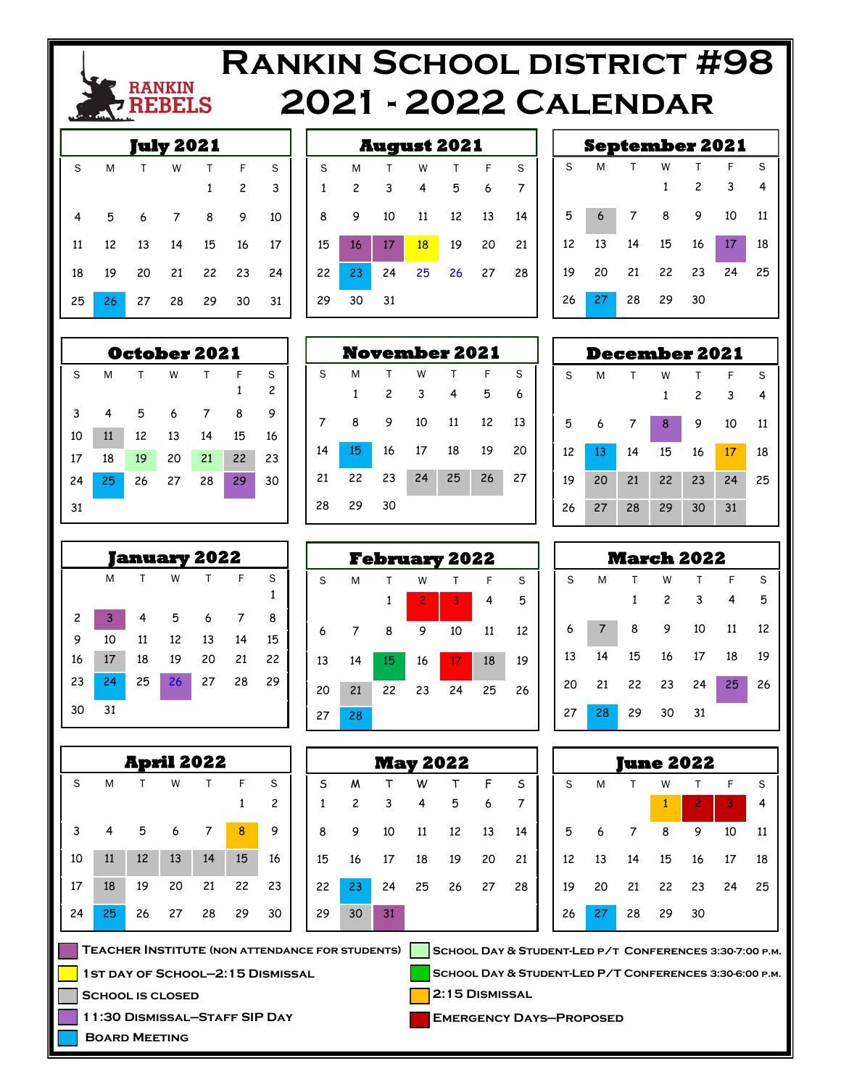

# **Rankin School district #98 2021 - 2022 Calendar**

| ıly 2021 |   |                                  |  |                    |  |    |  |
|----------|---|----------------------------------|--|--------------------|--|----|--|
| S.       | M |                                  |  |                    |  |    |  |
|          |   |                                  |  | T W T F S<br>1 2 3 |  |    |  |
|          |   | 4 5 6 7 8 9                      |  |                    |  | 10 |  |
|          |   | 11   12   13   14   15   16   17 |  |                    |  |    |  |
|          |   | 18  19  20  21  22  23  24       |  |                    |  |    |  |
| 25       |   | 26 27 28 29 30                   |  |                    |  | 31 |  |

| <b>August 2021</b> |                |    |    |    |       |    |  |  |
|--------------------|----------------|----|----|----|-------|----|--|--|
| S                  | M              | т  | W  | т  | F     | S  |  |  |
| 1                  | $\overline{c}$ | 3  | 4  | 5  | 6     | 7  |  |  |
| 8                  | 9              | 10 | 11 | 12 | 13    | 14 |  |  |
| 15                 | 16             | 17 | 18 | 19 | 20    | 21 |  |  |
| 22                 | 23             | 24 | 25 |    | 26 27 | 28 |  |  |
| 29                 | 30             | 31 |    |    |       |    |  |  |

**November 2021**  S M T W T F S 2 3 4 5 6

8 9 10 11 12 13

15 16 17 18 19 20

22 23 24 25 26 27

29 30

| <b>September 2021</b> |   |              |              |                |                            |                |  |
|-----------------------|---|--------------|--------------|----------------|----------------------------|----------------|--|
| S                     | M | $\mathsf{T}$ | W            | $\top$         | $-F$                       | S              |  |
|                       |   |              | $\mathbf{1}$ | $\overline{2}$ | $\overline{\phantom{a}}$ 3 | $\overline{4}$ |  |
| 5                     |   |              |              | 6 7 8 9 10 11  |                            |                |  |
| 12                    |   |              |              | 13 14 15 16 17 |                            | - 18           |  |
| 19                    |   |              |              | 20 21 22 23 24 |                            | 25             |  |
| 26                    |   | 27 28 29 30  |              |                |                            |                |  |

| ecember 2021/ |    |    |    |    |    |    |  |
|---------------|----|----|----|----|----|----|--|
| S             | M  | т  | W  | т  | F  | S  |  |
|               |    |    | 1  | 2  | 3  | 4  |  |
| 5             | 6  | 7  | 8  | 9  | 10 | 11 |  |
| 12            | 13 | 14 | 15 | 16 | 17 | 18 |  |
| 19            | 20 | 21 | 22 | 23 | 24 | 25 |  |
| 26            | 27 | 28 | 29 | 30 | 31 |    |  |

| <b>March 2022</b> |    |    |                |    |    |    |  |  |
|-------------------|----|----|----------------|----|----|----|--|--|
| S                 | M  | Т  | W              |    | F  | S  |  |  |
|                   |    | 1  | $\overline{c}$ | 3  | 4  | 5  |  |  |
| 6                 |    | 8  |                | 10 | 11 | 12 |  |  |
| 13                | 14 | 15 | 16             | 17 | 18 | 19 |  |  |
| 20                | 21 | 22 | 23             | 24 | 25 | 26 |  |  |
| 27                | 28 | 29 | 30             | 31 |    |    |  |  |

| une 2022 |    |    |    |                |    |    |  |  |
|----------|----|----|----|----------------|----|----|--|--|
| S        | M  | т  | W  | Т              | F  | S  |  |  |
|          |    |    | 1  | $\overline{c}$ | 3  | 4  |  |  |
| 5        | 6  | 7  | 8  | 9              | 10 | 11 |  |  |
| 12       | 13 | 14 | 15 | 16             | 17 | 18 |  |  |
| 19       | 20 |    |    | 21  22  23     | 24 | 25 |  |  |
| 26       | 27 | 28 | 29 | 30             |    |    |  |  |

**School Day & Student-Led p/t Conferences 3:30-7:00 p.m.**

**School Day & Student-Led P/T Conferences 3:30-6:00 p.m.**

**2:15 Dismissal**

**Emergency Days—Proposed**

|    |    |    | <b>October 2021</b> |    |    |                |
|----|----|----|---------------------|----|----|----------------|
| S  | M  | т  | W                   | Т  | F  | S              |
|    |    |    |                     |    | 1  | $\overline{c}$ |
| 3  | 4  | 5  | 6                   | 7  | 8  | 9              |
| 10 | 11 | 12 | 13                  | 14 | 15 | 16             |
| 17 | 18 | 19 | 20                  | 21 | 22 | 23             |
| 24 | 25 | 26 | 27                  | 28 | 29 | 30             |
| 31 |    |    |                     |    |    |                |
|    |    |    |                     |    |    |                |

| anuary 2022    |    |    |    |    |    |        |  |  |
|----------------|----|----|----|----|----|--------|--|--|
|                | M  | т  | W  | т  | F  | S<br>1 |  |  |
| $\overline{c}$ | 3  | 4  | 5  | 6  | 7  | 8      |  |  |
| 9              | 10 | 11 | 12 | 13 | 14 | 15     |  |  |
| 16             | 17 | 18 | 19 | 20 | 21 | 22     |  |  |
| 23             | 24 | 25 | 26 | 27 | 28 | 29     |  |  |
| 30             | 31 |    |    |    |    |        |  |  |

|    |                                                        | April 2022 |    |    |    |    |    |                |    |
|----|--------------------------------------------------------|------------|----|----|----|----|----|----------------|----|
| S  | M                                                      | т          | W  | Т  | F  | S  | S  | M              |    |
|    |                                                        |            |    |    | 1  | 2  | 1  | $\overline{c}$ | 3  |
| 3  | 4                                                      | 5          | 6  |    | 8  | 9  | 8  | 9              | 10 |
| 10 | 11                                                     | 12         | 13 | 14 | 15 | 16 | 15 | 16             | 17 |
| 17 | 18                                                     | 19         | 20 | 21 | 22 | 23 | 22 | 23             | 24 |
| 24 | 25                                                     | 26         | 27 | 28 | 29 | 30 | 29 | 30             | 31 |
|    | <b>TEACHER INSTITUTE (NON ATTENDANCE FOR STUDENTS)</b> |            |    |    |    |    |    |                |    |

**School is closed**

**Board Meeting**

**1st day of School—2:15 Dismissal**

**11:30 Dismissal—Staff SIP Day**

| <b>February 2022</b> |    |              |                |    |    |    |  |  |
|----------------------|----|--------------|----------------|----|----|----|--|--|
| S                    | M  | Т            | W              | т  | F  | S  |  |  |
|                      |    | $\mathbf{1}$ | $\overline{c}$ | 3  | 4  | 5  |  |  |
| 6                    | 7  | 8            | 9              | 10 | 11 | 12 |  |  |
| 13                   | 14 | 15           | 16             | 17 | 18 | 19 |  |  |
| 20                   | 21 | 22           | 23             | 24 | 25 | 26 |  |  |
| 27                   | 28 |              |                |    |    |    |  |  |

| <b>May 2022</b> |                |     |          |       |    |    |  |  |
|-----------------|----------------|-----|----------|-------|----|----|--|--|
| S               | M              | Т   | W        | T     | F  | S  |  |  |
| $\mathbf{1}$    | $\overline{c}$ | - 3 | 4        | 5     | 6  | 7  |  |  |
| 8               | 9              | 10  | 11       | 12    | 13 | 14 |  |  |
| 15              | 16             |     | 17 18 19 |       | 20 | 21 |  |  |
| 22              | 23             | 24  | 25       | 26 27 |    | 28 |  |  |
| 29              | 30             | 31  |          |       |    |    |  |  |

**February 2022**